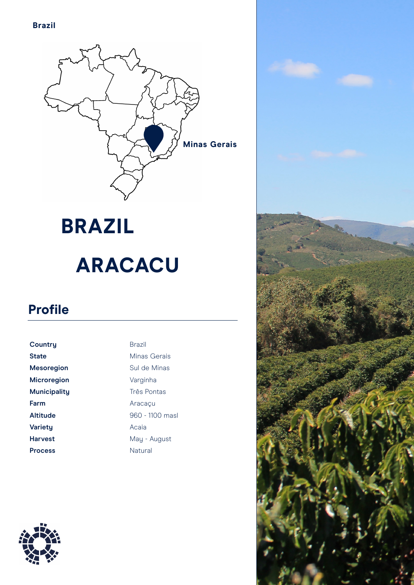

## **BRAZIL ARACACU**

## **Profile**

| Country            | <b>Brazil</b>     |
|--------------------|-------------------|
| <b>State</b>       | Minas Gerais      |
| <b>Mesoregion</b>  | Sul de Minas      |
| <b>Microregion</b> | Varginha          |
| Municipality       | Três Pontas       |
| Farm               | Aracacu           |
| <b>Altitude</b>    | $960 - 1100$ masl |
| <b>Varietu</b>     | Acaia             |
| <b>Harvest</b>     | May - August      |
| <b>Process</b>     | Natural           |